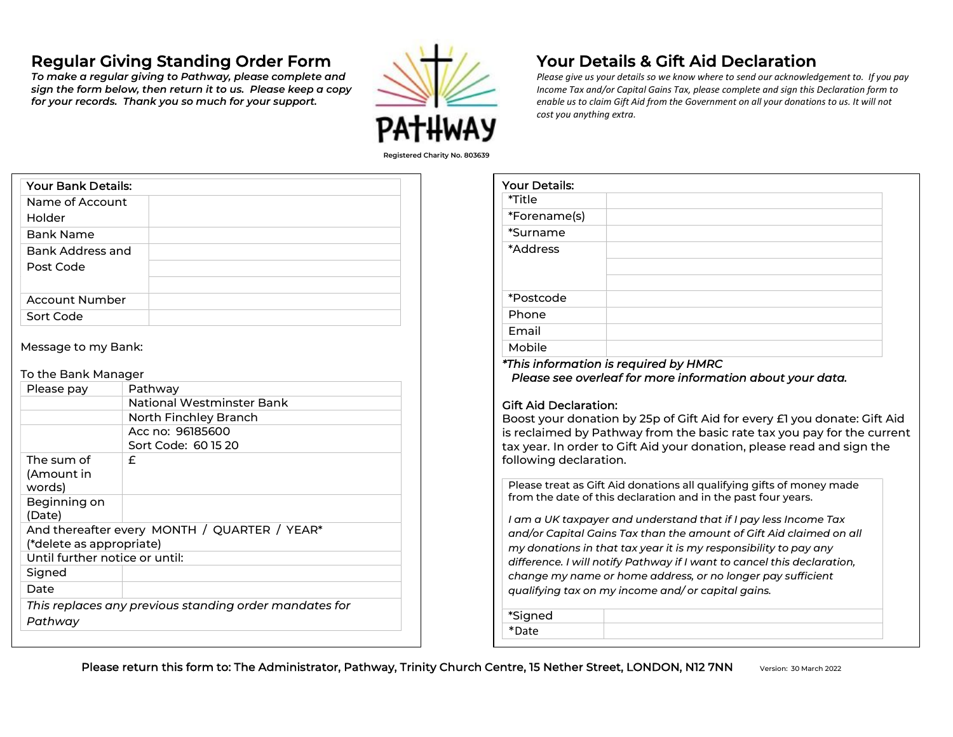# Regular Giving Standing Order Form

 To make a regular giving to Pathway, please complete and sign the form below, then return it to us. Please keep a copy for your records. Thank you so much for your support.



## Your Details & Gift Aid Declaration

Please give us your details so we know where to send our acknowledgement to. If you pay Income Tax and/or Capital Gains Tax, please complete and sign this Declaration form to enable us to claim Gift Aid from the Government on all your donations to us. It will not cost you anything extra.

| <b>Your Bank Details:</b>     |  |
|-------------------------------|--|
| Name of Account<br>Holder     |  |
| <b>Bank Name</b>              |  |
| Bank Address and<br>Post Code |  |
| <b>Account Number</b>         |  |
| Sort Code                     |  |

Message to my Bank:

#### To the Bank Manager

| Please pay                                             | Pathway                   |  |
|--------------------------------------------------------|---------------------------|--|
|                                                        | National Westminster Bank |  |
|                                                        | North Finchley Branch     |  |
|                                                        | Acc no: 96185600          |  |
|                                                        | Sort Code: 60 15 20       |  |
| The sum of                                             | £                         |  |
| (Amount in                                             |                           |  |
| words)                                                 |                           |  |
| Beginning on                                           |                           |  |
| (Date)                                                 |                           |  |
| And thereafter every MONTH / QUARTER / YEAR*           |                           |  |
| (*delete as appropriate)                               |                           |  |
| Until further notice or until:                         |                           |  |
| Signed                                                 |                           |  |
| Date                                                   |                           |  |
| This replaces any previous standing order mandates for |                           |  |
| Pathway                                                |                           |  |

| rour Details. |                                       |
|---------------|---------------------------------------|
| *Title        |                                       |
| *Forename(s)  |                                       |
| *Surname      |                                       |
| *Address      |                                       |
| *Postcode     |                                       |
| Phone         |                                       |
| Email         |                                       |
| Mobile        |                                       |
|               | *This information is required by HMRC |

Please see overleaf for more information about your data.

#### Gift Aid Declaration:

Your Details:

Boost your donation by 25p of Gift Aid for every £1 you donate: Gift Aid is reclaimed by Pathway from the basic rate tax you pay for the current tax year. In order to Gift Aid your donation, please read and sign the following declaration.

Please treat as Gift Aid donations all qualifying gifts of money made from the date of this declaration and in the past four years.

I am a UK taxpayer and understand that if I pay less Income Tax and/or Capital Gains Tax than the amount of Gift Aid claimed on all my donations in that tax year it is my responsibility to pay any difference. I will notify Pathway if I want to cancel this declaration, change my name or home address, or no longer pay sufficient qualifying tax on my income and/ or capital gains.

\*Signed

\*Date

Please return this form to: The Administrator, Pathway, Trinity Church Centre, 15 Nether Street, LONDON, N12 7NN Version: 30 March 2022